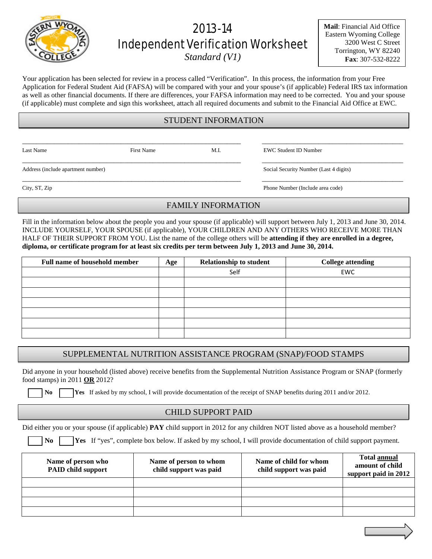# 2013-14 Independent Verification Worksheet

*Standard (V1)*

**Mail**: Financial Aid Office Eastern Wyoming College 3200 West C Street Torrington, WY 82240 **Fax**: 307-532-8222

Your application has been selected for review in a process called "Verification". In this process, the information from your Free Application for Federal Student Aid (FAFSA) will be compared with your and your spouse's (if applicable) Federal IRS tax information as well as other financial documents. If there are differences, your FAFSA information may need to be corrected. You and your spouse (if applicable) must complete and sign this worksheet, attach all required documents and submit to the Financial Aid Office at EWC.

# STUDENT INFORMATION

\_\_\_\_\_\_\_\_\_\_\_\_\_\_\_\_\_\_\_\_\_\_\_\_\_\_\_\_\_\_\_\_\_\_\_\_\_\_\_\_\_\_\_\_\_\_\_\_\_\_\_\_\_\_\_\_\_\_\_\_\_\_ \_\_\_\_\_\_\_\_\_\_\_\_\_\_\_\_\_\_\_\_\_\_\_\_\_\_\_\_\_\_\_\_\_\_\_\_\_\_\_\_

\_\_\_\_\_\_\_\_\_\_\_\_\_\_\_\_\_\_\_\_\_\_\_\_\_\_\_\_\_\_\_\_\_\_\_\_\_\_\_\_\_\_\_\_\_\_\_\_\_\_\_\_\_\_\_\_\_\_\_\_\_\_ \_\_\_\_\_\_\_\_\_\_\_\_\_\_\_\_\_\_\_\_\_\_\_\_\_\_\_\_\_\_\_\_\_\_\_\_\_\_\_\_

Last Name First Name First Name M.I. EWC Student ID Number

Address (include apartment number) Social Security Number (Last 4 digits)

\_\_\_\_\_\_\_\_\_\_\_\_\_\_\_\_\_\_\_\_\_\_\_\_\_\_\_\_\_\_\_\_\_\_\_\_\_\_\_\_\_\_\_\_\_\_\_\_\_\_\_\_\_\_\_\_\_\_\_\_\_\_ \_\_\_\_\_\_\_\_\_\_\_\_\_\_\_\_\_\_\_\_\_\_\_\_\_\_\_\_\_\_\_\_\_\_\_\_\_\_\_\_ City, ST, Zip Phone Number (Include area code)

# FAMILY INFORMATION

Fill in the information below about the people you and your spouse (if applicable) will support between July 1, 2013 and June 30, 2014. INCLUDE YOURSELF, YOUR SPOUSE (if applicable), YOUR CHILDREN AND ANY OTHERS WHO RECEIVE MORE THAN HALF OF THEIR SUPPORT FROM YOU. List the name of the college others will be **attending if they are enrolled in a degree, diploma, or certificate program for at least six credits per term between July 1, 2013 and June 30, 2014.**

| <b>Full name of household member</b> | Age | <b>Relationship to student</b> | <b>College attending</b> |
|--------------------------------------|-----|--------------------------------|--------------------------|
|                                      |     | Self                           | EWC                      |
|                                      |     |                                |                          |
|                                      |     |                                |                          |
|                                      |     |                                |                          |
|                                      |     |                                |                          |
|                                      |     |                                |                          |
|                                      |     |                                |                          |

## SUPPLEMENTAL NUTRITION ASSISTANCE PROGRAM (SNAP)/FOOD STAMPS

Did anyone in your household (listed above) receive benefits from the Supplemental Nutrition Assistance Program or SNAP (formerly food stamps) in 2011 **OR** 2012?

**No T Yes** If asked by my school, I will provide documentation of the receipt of SNAP benefits during 2011 and/or 2012.

## CHILD SUPPORT PAID

Did either you or your spouse (if applicable) **PAY** child support in 2012 for any children NOT listed above as a household member?

 **No Yes** If "yes", complete box below. If asked by my school, I will provide documentation of child support payment.

| Name of person who<br><b>PAID child support</b> | Name of person to whom<br>child support was paid | Name of child for whom<br>child support was paid | <b>Total annual</b><br>amount of child<br>support paid in 2012 |
|-------------------------------------------------|--------------------------------------------------|--------------------------------------------------|----------------------------------------------------------------|
|                                                 |                                                  |                                                  |                                                                |
|                                                 |                                                  |                                                  |                                                                |
|                                                 |                                                  |                                                  |                                                                |
|                                                 |                                                  |                                                  |                                                                |